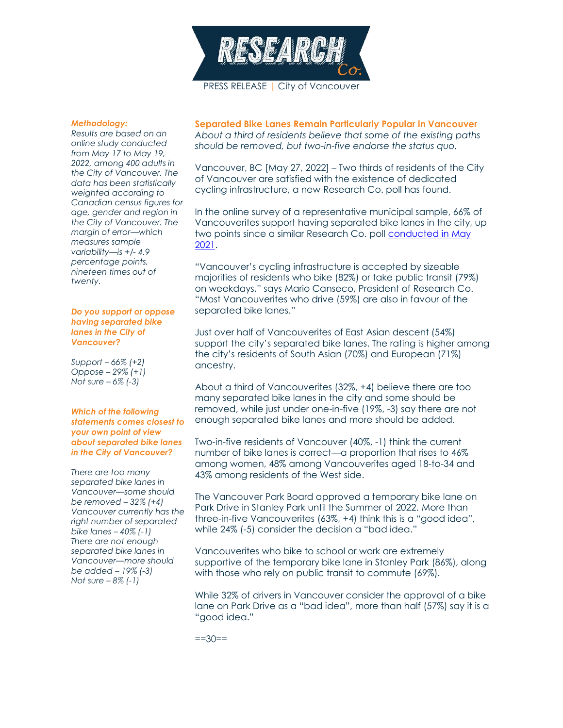

#### *Methodology:*

*Results are based on an online study conducted from May 17 to May 19, 2022, among 400 adults in the City of Vancouver. The data has been statistically weighted according to Canadian census figures for age, gender and region in the City of Vancouver. The margin of error—which measures sample variability—is +/- 4.9 percentage points, nineteen times out of twenty.*

#### *Do you support or oppose having separated bike lanes in the City of Vancouver?*

*Support – 66% (+2) Oppose – 29% (+1) Not sure – 6% (-3)*

### *Which of the following statements comes closest to your own point of view about separated bike lanes in the City of Vancouver?*

*There are too many separated bike lanes in Vancouver—some should be removed – 32% (+4) Vancouver currently has the right number of separated bike lanes – 40% (-1) There are not enough separated bike lanes in Vancouver—more should be added – 19% (-3) Not sure – 8% (-1)*

**Separated Bike Lanes Remain Particularly Popular in Vancouver** *About a third of residents believe that some of the existing paths should be removed, but two-in-five endorse the status quo.*

Vancouver, BC [May 27, 2022] – Two thirds of residents of the City of Vancouver are satisfied with the existence of dedicated cycling infrastructure, a new Research Co. poll has found.

In the online survey of a representative municipal sample, 66% of Vancouverites support having separated bike lanes in the city, up two points since a similar Research Co. poll [conducted in May](https://researchco.ca/2021/05/18/vancouver-bike-lanes-2/)  [2021.](https://researchco.ca/2021/05/18/vancouver-bike-lanes-2/)

"Vancouver's cycling infrastructure is accepted by sizeable majorities of residents who bike (82%) or take public transit (79%) on weekdays," says Mario Canseco, President of Research Co. "Most Vancouverites who drive (59%) are also in favour of the separated bike lanes."

Just over half of Vancouverites of East Asian descent (54%) support the city's separated bike lanes. The rating is higher among the city's residents of South Asian (70%) and European (71%) ancestry.

About a third of Vancouverites (32%, +4) believe there are too many separated bike lanes in the city and some should be removed, while just under one-in-five (19%, -3) say there are not enough separated bike lanes and more should be added.

Two-in-five residents of Vancouver (40%, -1) think the current number of bike lanes is correct—a proportion that rises to 46% among women, 48% among Vancouverites aged 18-to-34 and 43% among residents of the West side.

The Vancouver Park Board approved a temporary bike lane on Park Drive in Stanley Park until the Summer of 2022. More than three-in-five Vancouverites (63%, +4) think this is a "good idea", while 24% (-5) consider the decision a "bad idea."

Vancouverites who bike to school or work are extremely supportive of the temporary bike lane in Stanley Park (86%), along with those who rely on public transit to commute (69%).

While 32% of drivers in Vancouver consider the approval of a bike lane on Park Drive as a "bad idea", more than half (57%) say it is a "good idea."

 $==30==$